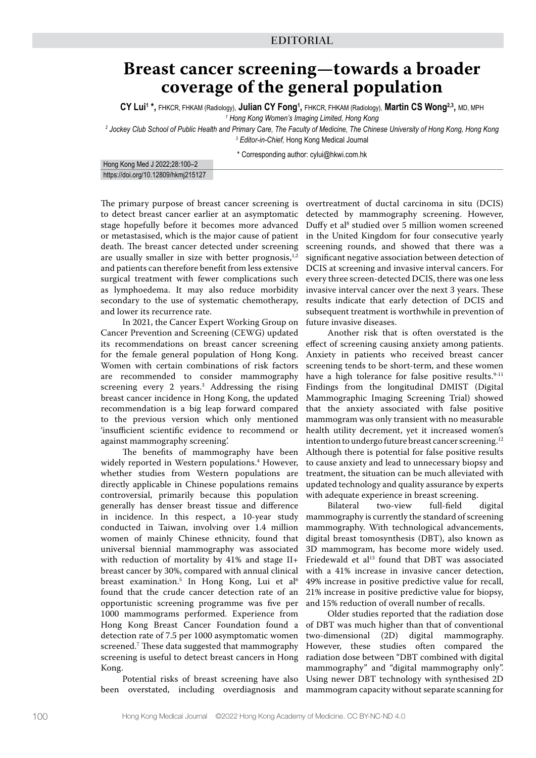## **Breast cancer screening—towards a broader coverage of the general population**

**CY Lui1 \*,** FHKCR, FHKAM (Radiology), **Julian CY Fong1 ,** FHKCR, FHKAM (Radiology), **Martin CS Wong2,3,** MD, MPH

*1 Hong Kong Women's Imaging Limited, Hong Kong*

*2 Jockey Club School of Public Health and Primary Care, The Faculty of Medicine, The Chinese University of Hong Kong, Hong Kong 3 Editor-in-Chief,* Hong Kong Medical Journal

\* Corresponding author: cylui@hkwi.com.hk

Hong Kong Med J 2022;28:100–2 https://doi.org/10.12809/hkmj215127

The primary purpose of breast cancer screening is to detect breast cancer earlier at an asymptomatic stage hopefully before it becomes more advanced or metastasised, which is the major cause of patient death. The breast cancer detected under screening are usually smaller in size with better prognosis, $1,2$ and patients can therefore benefit from less extensive surgical treatment with fewer complications such as lymphoedema. It may also reduce morbidity secondary to the use of systematic chemotherapy, and lower its recurrence rate.

In 2021, the Cancer Expert Working Group on Cancer Prevention and Screening (CEWG) updated its recommendations on breast cancer screening for the female general population of Hong Kong. Women with certain combinations of risk factors are recommended to consider mammography screening every 2 years.<sup>3</sup> Addressing the rising breast cancer incidence in Hong Kong, the updated recommendation is a big leap forward compared to the previous version which only mentioned 'insufficient scientific evidence to recommend or against mammography screening'.

The benefits of mammography have been widely reported in Western populations.4 However, whether studies from Western populations are directly applicable in Chinese populations remains controversial, primarily because this population generally has denser breast tissue and difference in incidence. In this respect, a 10-year study conducted in Taiwan, involving over 1.4 million women of mainly Chinese ethnicity, found that universal biennial mammography was associated with reduction of mortality by 41% and stage II+ breast cancer by 30%, compared with annual clinical breast examination.<sup>5</sup> In Hong Kong, Lui et al<sup>6</sup> found that the crude cancer detection rate of an opportunistic screening programme was five per 1000 mammograms performed. Experience from Hong Kong Breast Cancer Foundation found a detection rate of 7.5 per 1000 asymptomatic women screened.7 These data suggested that mammography screening is useful to detect breast cancers in Hong Kong.

Potential risks of breast screening have also been overstated, including overdiagnosis and overtreatment of ductal carcinoma in situ (DCIS) detected by mammography screening. However, Duffy et al8 studied over 5 million women screened in the United Kingdom for four consecutive yearly screening rounds, and showed that there was a significant negative association between detection of DCIS at screening and invasive interval cancers. For every three screen-detected DCIS, there was one less invasive interval cancer over the next 3 years. These results indicate that early detection of DCIS and subsequent treatment is worthwhile in prevention of future invasive diseases.

Another risk that is often overstated is the effect of screening causing anxiety among patients. Anxiety in patients who received breast cancer screening tends to be short-term, and these women have a high tolerance for false positive results. $9-11$ Findings from the longitudinal DMIST (Digital Mammographic Imaging Screening Trial) showed that the anxiety associated with false positive mammogram was only transient with no measurable health utility decrement, yet it increased women's intention to undergo future breast cancer screening.<sup>12</sup> Although there is potential for false positive results to cause anxiety and lead to unnecessary biopsy and treatment, the situation can be much alleviated with updated technology and quality assurance by experts with adequate experience in breast screening.<br>Bilateral two-view full-field

two-view full-field digital mammography is currently the standard of screening mammography. With technological advancements, digital breast tomosynthesis (DBT), also known as 3D mammogram, has become more widely used. Friedewald et al<sup>13</sup> found that DBT was associated with a 41% increase in invasive cancer detection, 49% increase in positive predictive value for recall, 21% increase in positive predictive value for biopsy, and 15% reduction of overall number of recalls.

Older studies reported that the radiation dose of DBT was much higher than that of conventional two-dimensional (2D) digital mammography. However, these studies often compared the radiation dose between "DBT combined with digital mammography" and "digital mammography only". Using newer DBT technology with synthesised 2D mammogram capacity without separate scanning for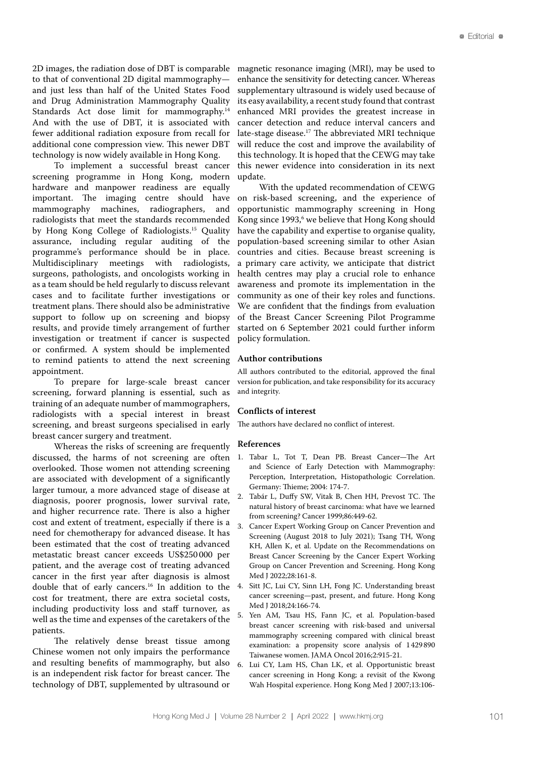2D images, the radiation dose of DBT is comparable to that of conventional 2D digital mammography and just less than half of the United States Food and Drug Administration Mammography Quality Standards Act dose limit for mammography.<sup>14</sup> And with the use of DBT, it is associated with fewer additional radiation exposure from recall for additional cone compression view. This newer DBT technology is now widely available in Hong Kong.

To implement a successful breast cancer screening programme in Hong Kong, modern hardware and manpower readiness are equally important. The imaging centre should have mammography machines, radiographers, and radiologists that meet the standards recommended by Hong Kong College of Radiologists.15 Quality assurance, including regular auditing of the programme's performance should be in place. Multidisciplinary meetings with radiologists, surgeons, pathologists, and oncologists working in as a team should be held regularly to discuss relevant cases and to facilitate further investigations or treatment plans. There should also be administrative support to follow up on screening and biopsy results, and provide timely arrangement of further investigation or treatment if cancer is suspected or confirmed. A system should be implemented to remind patients to attend the next screening appointment.

To prepare for large-scale breast cancer screening, forward planning is essential, such as training of an adequate number of mammographers, radiologists with a special interest in breast screening, and breast surgeons specialised in early breast cancer surgery and treatment.

Whereas the risks of screening are frequently discussed, the harms of not screening are often overlooked. Those women not attending screening are associated with development of a significantly larger tumour, a more advanced stage of disease at diagnosis, poorer prognosis, lower survival rate, and higher recurrence rate. There is also a higher cost and extent of treatment, especially if there is a need for chemotherapy for advanced disease. It has been estimated that the cost of treating advanced metastatic breast cancer exceeds US\$250 000 per patient, and the average cost of treating advanced cancer in the first year after diagnosis is almost double that of early cancers.16 In addition to the cost for treatment, there are extra societal costs, including productivity loss and staff turnover, as well as the time and expenses of the caretakers of the patients.

The relatively dense breast tissue among Chinese women not only impairs the performance and resulting benefits of mammography, but also is an independent risk factor for breast cancer. The technology of DBT, supplemented by ultrasound or

magnetic resonance imaging (MRI), may be used to enhance the sensitivity for detecting cancer. Whereas supplementary ultrasound is widely used because of its easy availability, a recent study found that contrast enhanced MRI provides the greatest increase in cancer detection and reduce interval cancers and late-stage disease.17 The abbreviated MRI technique will reduce the cost and improve the availability of this technology. It is hoped that the CEWG may take this newer evidence into consideration in its next update.

With the updated recommendation of CEWG on risk-based screening, and the experience of opportunistic mammography screening in Hong Kong since 1993, $^6$  we believe that Hong Kong should have the capability and expertise to organise quality, population-based screening similar to other Asian countries and cities. Because breast screening is a primary care activity, we anticipate that district health centres may play a crucial role to enhance awareness and promote its implementation in the community as one of their key roles and functions. We are confident that the findings from evaluation of the Breast Cancer Screening Pilot Programme started on 6 September 2021 could further inform policy formulation.

## **Author contributions**

All authors contributed to the editorial, approved the final version for publication, and take responsibility for its accuracy and integrity.

## **Conflicts of interest**

The authors have declared no conflict of interest.

## **References**

- 1. Tabar L, Tot T, Dean PB. Breast Cancer—The Art and Science of Early Detection with Mammography: Perception, Interpretation, Histopathologic Correlation. Germany: Thieme; 2004: 174-7.
- 2. Tabár L, Duffy SW, Vitak B, Chen HH, Prevost TC. The natural history of breast carcinoma: what have we learned from screening? Cancer 1999;86:449-62.
- 3. Cancer Expert Working Group on Cancer Prevention and Screening (August 2018 to July 2021); Tsang TH, Wong KH, Allen K, et al. Update on the Recommendations on Breast Cancer Screening by the Cancer Expert Working Group on Cancer Prevention and Screening. Hong Kong Med J 2022;28:161-8.
- Sitt JC, Lui CY, Sinn LH, Fong JC. Understanding breast cancer screening—past, present, and future. Hong Kong Med J 2018;24:166-74.
- 5. Yen AM, Tsau HS, Fann JC, et al. Population-based breast cancer screening with risk-based and universal mammography screening compared with clinical breast examination: a propensity score analysis of 1 429890 Taiwanese women. JAMA Oncol 2016;2:915-21.
- Lui CY, Lam HS, Chan LK, et al. Opportunistic breast cancer screening in Hong Kong; a revisit of the Kwong Wah Hospital experience. Hong Kong Med J 2007;13:106-